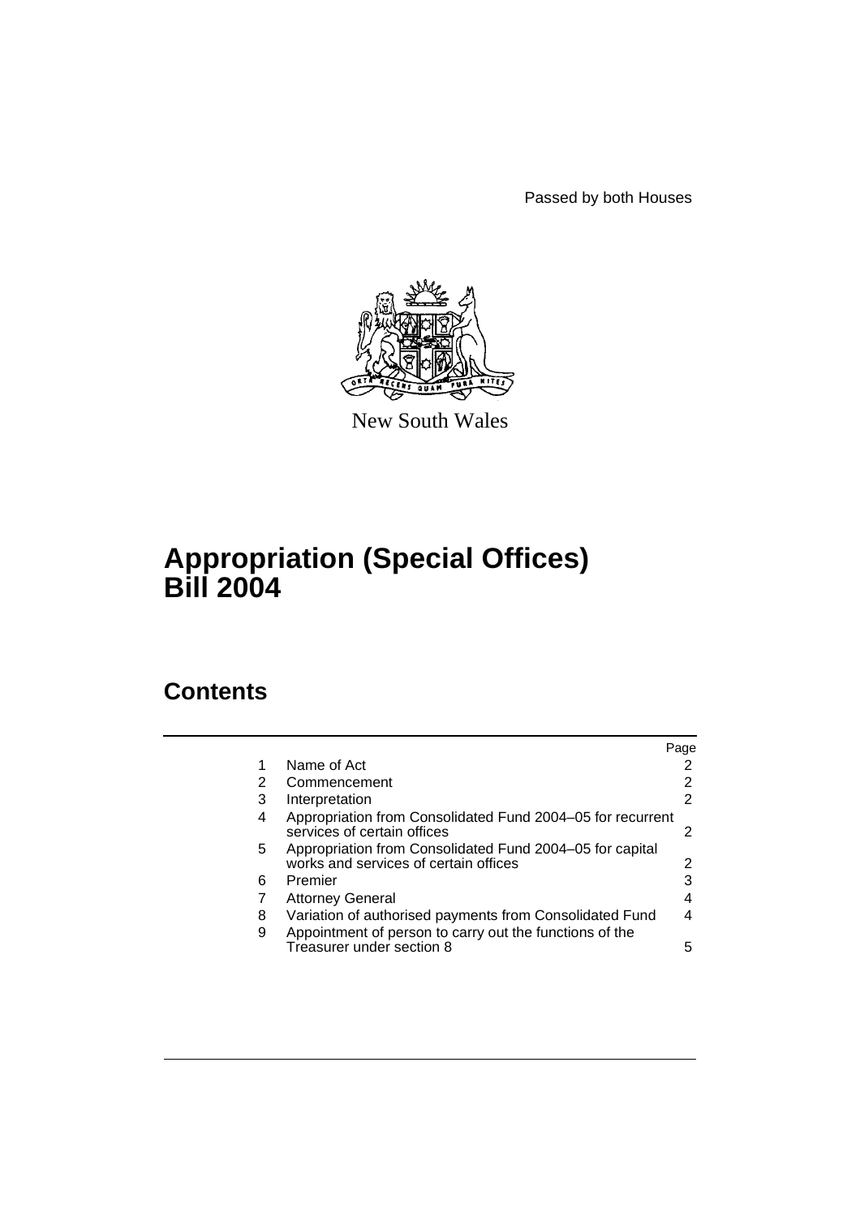Passed by both Houses



New South Wales

# **Appropriation (Special Offices) Bill 2004**

# **Contents**

|    |                                                                                                   | Page |
|----|---------------------------------------------------------------------------------------------------|------|
|    | Name of Act                                                                                       |      |
| 2  | Commencement                                                                                      | 2    |
| 3  | Interpretation                                                                                    | 2    |
| 4  | Appropriation from Consolidated Fund 2004–05 for recurrent<br>services of certain offices         | 2    |
| 5. | Appropriation from Consolidated Fund 2004–05 for capital<br>works and services of certain offices | 2    |
| 6  | Premier                                                                                           | 3    |
|    | <b>Attorney General</b>                                                                           | 4    |
| 8  | Variation of authorised payments from Consolidated Fund                                           | 4    |
| 9  | Appointment of person to carry out the functions of the<br>Treasurer under section 8              | 5    |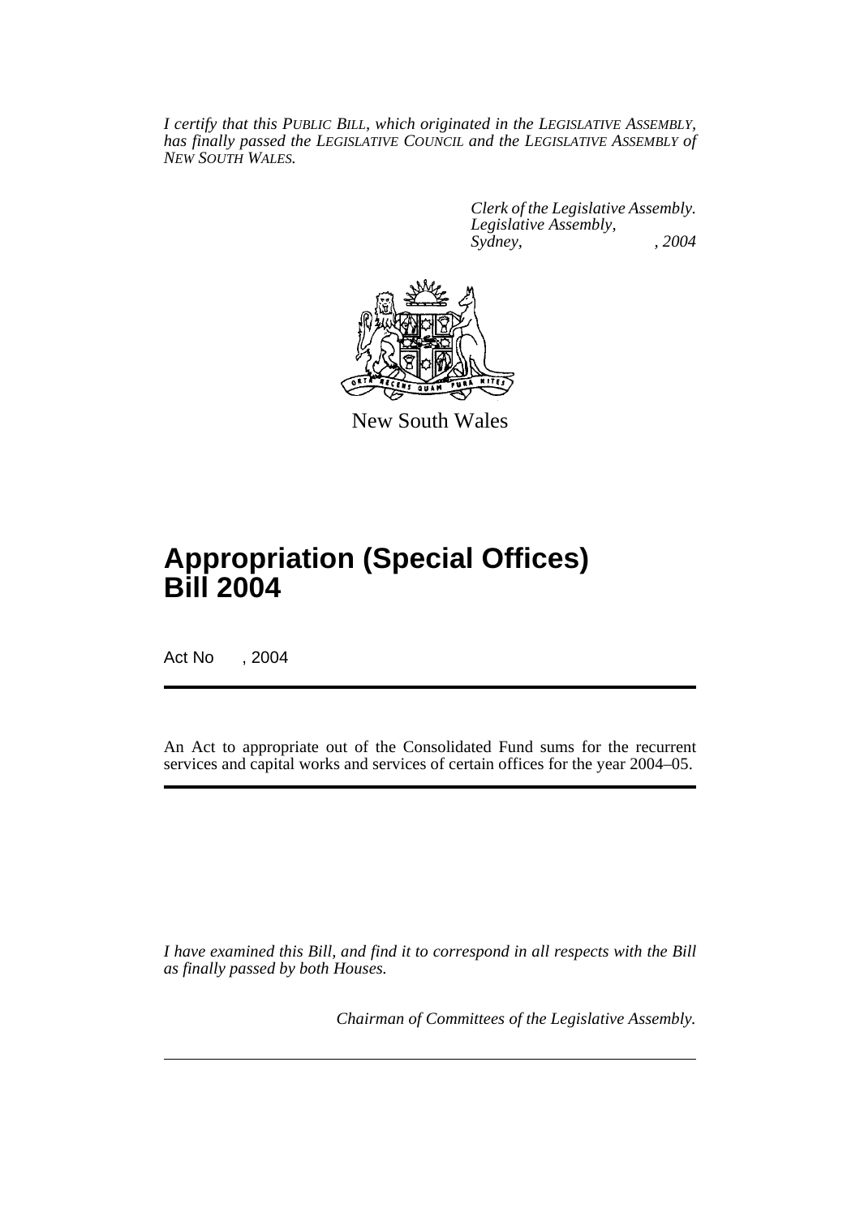*I certify that this PUBLIC BILL, which originated in the LEGISLATIVE ASSEMBLY, has finally passed the LEGISLATIVE COUNCIL and the LEGISLATIVE ASSEMBLY of NEW SOUTH WALES.*

> *Clerk of the Legislative Assembly. Legislative Assembly, Sydney, , 2004*



New South Wales

# **Appropriation (Special Offices) Bill 2004**

Act No , 2004

An Act to appropriate out of the Consolidated Fund sums for the recurrent services and capital works and services of certain offices for the year 2004–05.

*I have examined this Bill, and find it to correspond in all respects with the Bill as finally passed by both Houses.*

*Chairman of Committees of the Legislative Assembly.*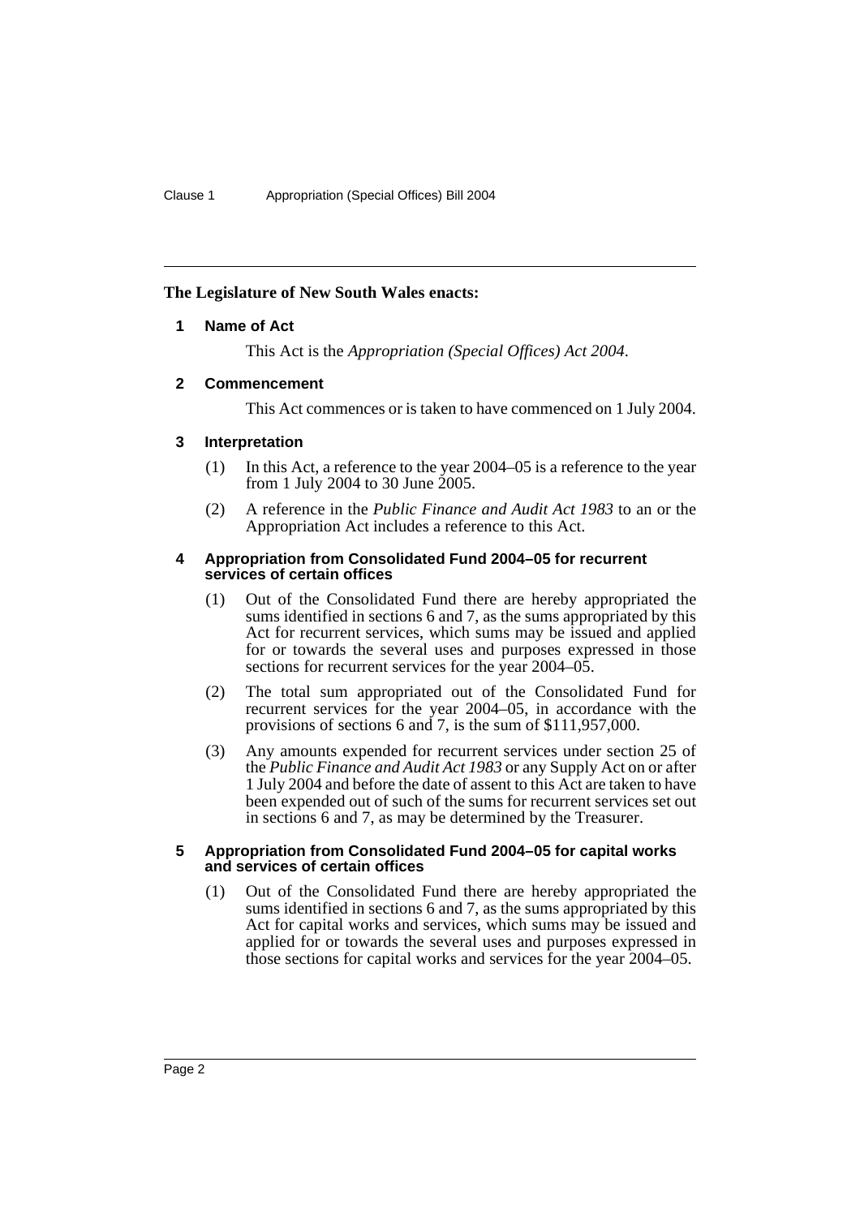## **The Legislature of New South Wales enacts:**

## **1 Name of Act**

This Act is the *Appropriation (Special Offices) Act 2004*.

## **2 Commencement**

This Act commences or is taken to have commenced on 1 July 2004.

## **3 Interpretation**

- (1) In this Act, a reference to the year 2004–05 is a reference to the year from 1 July 2004 to 30 June 2005.
- (2) A reference in the *Public Finance and Audit Act 1983* to an or the Appropriation Act includes a reference to this Act.

#### **4 Appropriation from Consolidated Fund 2004–05 for recurrent services of certain offices**

- (1) Out of the Consolidated Fund there are hereby appropriated the sums identified in sections 6 and 7, as the sums appropriated by this Act for recurrent services, which sums may be issued and applied for or towards the several uses and purposes expressed in those sections for recurrent services for the year 2004–05.
- (2) The total sum appropriated out of the Consolidated Fund for recurrent services for the year 2004–05, in accordance with the provisions of sections 6 and 7, is the sum of \$111,957,000.
- (3) Any amounts expended for recurrent services under section 25 of the *Public Finance and Audit Act 1983* or any Supply Act on or after 1 July 2004 and before the date of assent to this Act are taken to have been expended out of such of the sums for recurrent services set out in sections 6 and 7, as may be determined by the Treasurer.

### **5 Appropriation from Consolidated Fund 2004–05 for capital works and services of certain offices**

(1) Out of the Consolidated Fund there are hereby appropriated the sums identified in sections 6 and 7, as the sums appropriated by this Act for capital works and services, which sums may be issued and applied for or towards the several uses and purposes expressed in those sections for capital works and services for the year 2004–05.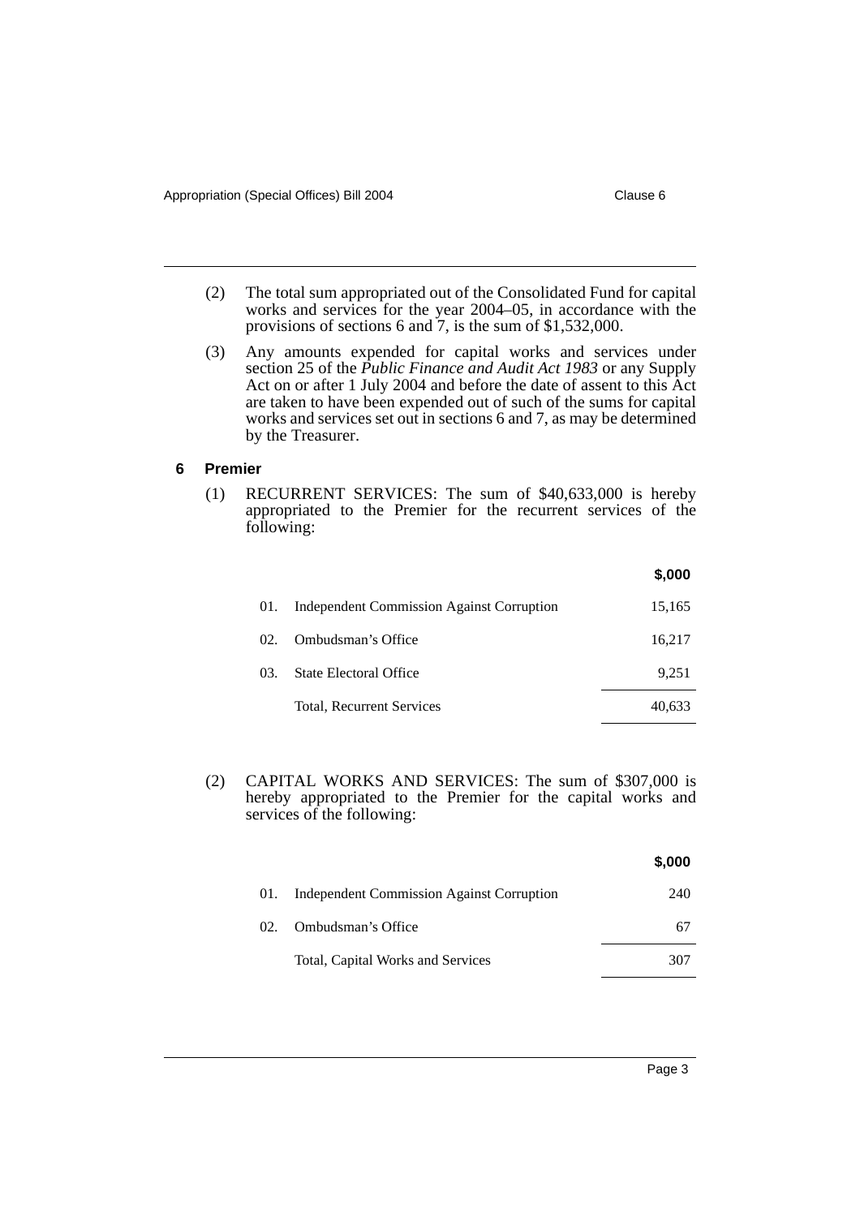- 
- (2) The total sum appropriated out of the Consolidated Fund for capital works and services for the year 2004–05, in accordance with the provisions of sections 6 and 7, is the sum of \$1,532,000.
- (3) Any amounts expended for capital works and services under section 25 of the *Public Finance and Audit Act 1983* or any Supply Act on or after 1 July 2004 and before the date of assent to this Act are taken to have been expended out of such of the sums for capital works and services set out in sections 6 and 7, as may be determined by the Treasurer.

#### **6 Premier**

(1) RECURRENT SERVICES: The sum of \$40,633,000 is hereby appropriated to the Premier for the recurrent services of the following:

|     |                                                  | \$,000 |
|-----|--------------------------------------------------|--------|
| 01. | <b>Independent Commission Against Corruption</b> | 15,165 |
| 02. | Ombudsman's Office                               | 16,217 |
| 03. | State Electoral Office                           | 9.251  |
|     | Total, Recurrent Services                        | 40,633 |

(2) CAPITAL WORKS AND SERVICES: The sum of \$307,000 is hereby appropriated to the Premier for the capital works and services of the following:

|     |                                                  | \$,000 |
|-----|--------------------------------------------------|--------|
| 01. | <b>Independent Commission Against Corruption</b> | 240    |
| 02. | Ombudsman's Office                               | 67     |
|     | Total, Capital Works and Services                | 307    |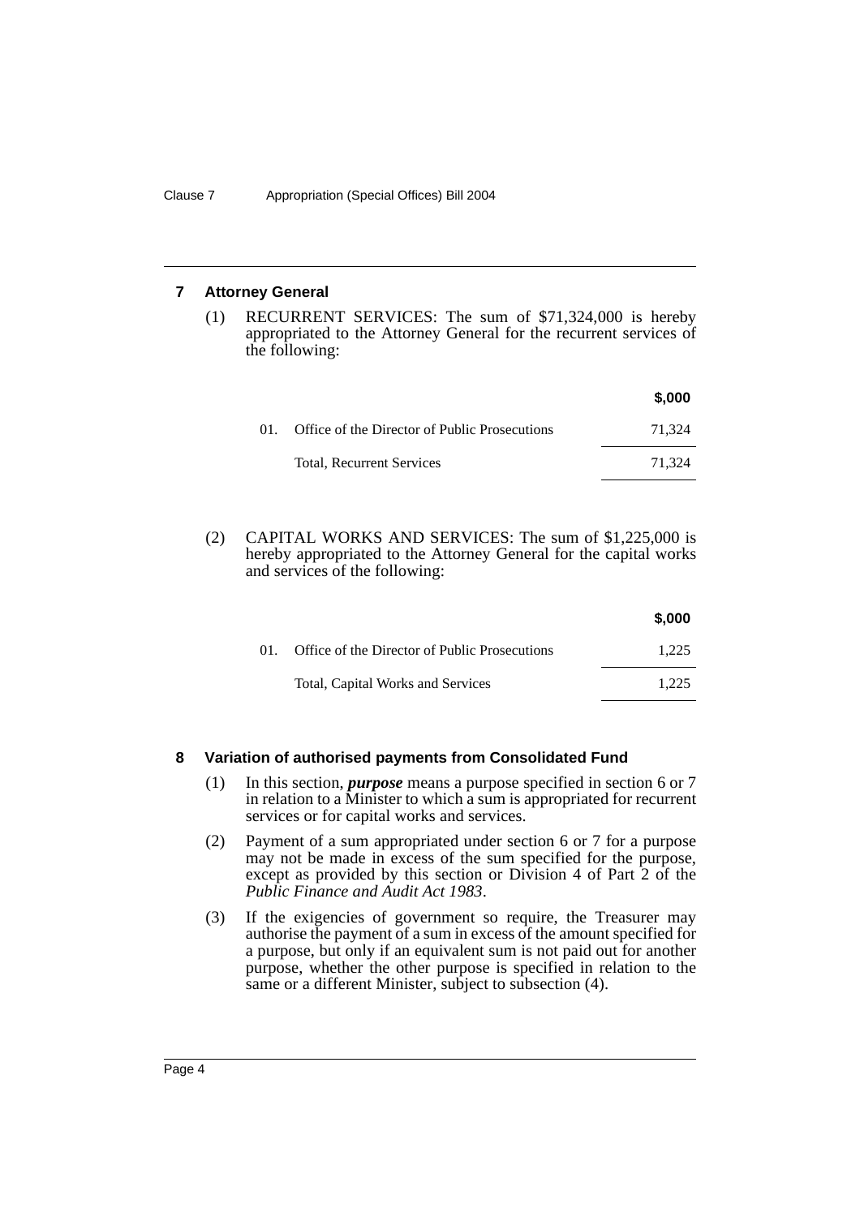### **7 Attorney General**

(1) RECURRENT SERVICES: The sum of \$71,324,000 is hereby appropriated to the Attorney General for the recurrent services of the following:

|     |                                               | \$,000 |
|-----|-----------------------------------------------|--------|
| 01. | Office of the Director of Public Prosecutions | 71.324 |
|     | Total, Recurrent Services                     | 71.324 |

(2) CAPITAL WORKS AND SERVICES: The sum of \$1,225,000 is hereby appropriated to the Attorney General for the capital works and services of the following:

|     |                                               | \$,000 |
|-----|-----------------------------------------------|--------|
| (1) | Office of the Director of Public Prosecutions | 1.225  |
|     | Total, Capital Works and Services             | 1.225  |
|     |                                               |        |

## **8 Variation of authorised payments from Consolidated Fund**

- (1) In this section, *purpose* means a purpose specified in section 6 or 7 in relation to a Minister to which a sum is appropriated for recurrent services or for capital works and services.
- (2) Payment of a sum appropriated under section 6 or 7 for a purpose may not be made in excess of the sum specified for the purpose, except as provided by this section or Division 4 of Part 2 of the *Public Finance and Audit Act 1983*.
- (3) If the exigencies of government so require, the Treasurer may authorise the payment of a sum in excess of the amount specified for a purpose, but only if an equivalent sum is not paid out for another purpose, whether the other purpose is specified in relation to the same or a different Minister, subject to subsection (4).